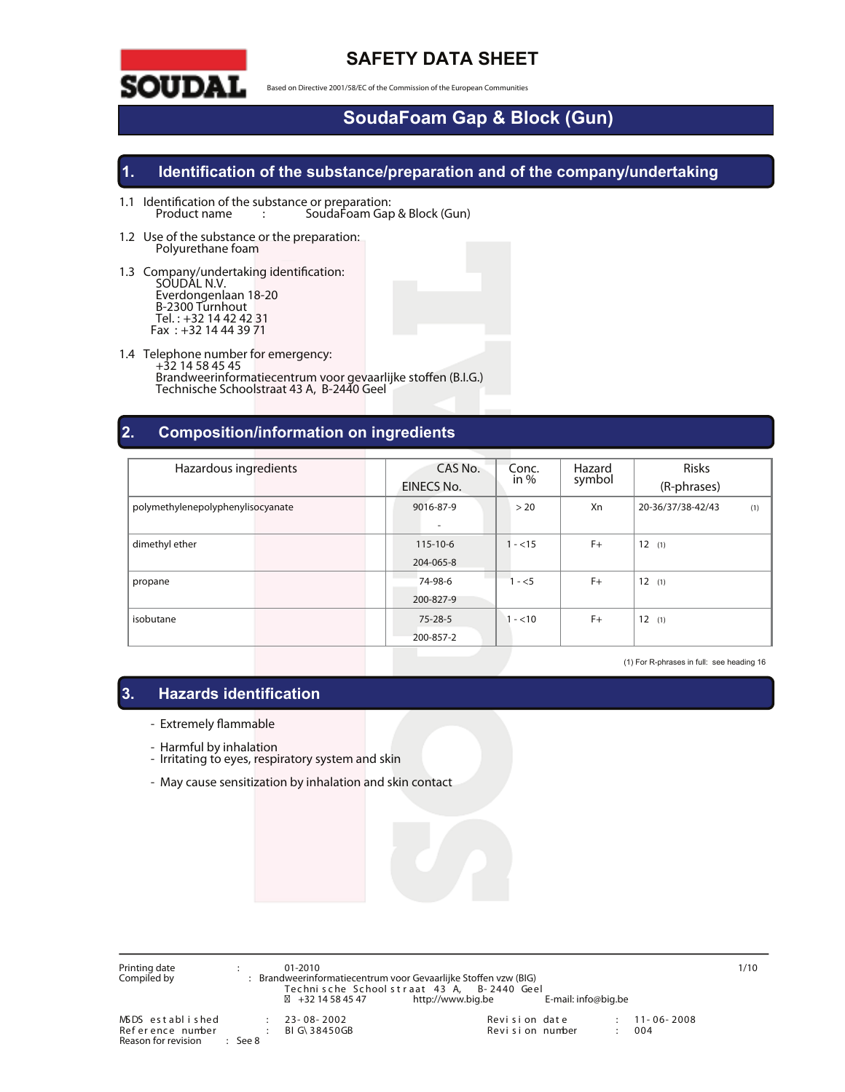

### **SAFETY DATA SHEET**

**Based on Directive 2001/58/EC of the Commission of the European Communities**

# **SoudaFoam Gap & Block (Gun)**

#### **1. Identification of the substance/preparation and of the company/undertaking**

- **1.1 Identication of the substance or preparation: Product name :** SoudaFoam Gap & Block (Gun)
- **1.2 Use of the substance or the preparation:** Polyurethane foam
- 1.3 Company/undertaking identification: SOUDAL N.V. Everdongenlaan 18-20 B-2300 Turnhout Tel. : +32 14 42 42 31 Fax : +32 14 44 39 71
- **1.4 Telephone number for emergency:** +32 14 58 45 45 Brandweerinformatiecentrum voor gevaarlijke stoffen (B.I.G.) Technische Schoolstraat 43 A, B-2440 Geel

#### **2. Composition/information on ingredients**

| Hazardous ingredients             | CAS No.<br>EINECS No.       | Conc.<br>in % | Hazard<br>symbol | <b>Risks</b><br>(R-phrases) |
|-----------------------------------|-----------------------------|---------------|------------------|-----------------------------|
| polymethylenepolyphenylisocyanate | 9016-87-9<br>۰              | > 20          | Xn               | 20-36/37/38-42/43<br>(1)    |
| dimethyl ether                    | $115 - 10 - 6$<br>204-065-8 | $- < 15$      | $F+$             | 12(1)                       |
| propane                           | 74-98-6<br>200-827-9        | $1 - 5$       | $F+$             | 12(1)                       |
| isobutane                         | $75 - 28 - 5$<br>200-857-2  | $-$ <10       | $F+$             | 12(1)                       |

(1) For R-phrases in full: see heading 16

#### **3. Hazards identification**

- Extremely flammable
- 
- Harmful by inhalation<br>- Irritating to eyes, respiratory system and skin
- May cause sensitization by inhalation and skin contact

Printing date : **01-2010 1/10** Compiled by : Brandweerinformatiecentrum voor Gevaarlijke Stoen vzw (BIG) Tec hni s c he Sc hool s t r a at 43 A, B- 2440 Geel +32 14 58 45 47 http://www.big.be E-mail: info@big.be MSDS established : 23-08-2002 Revision date : 11-06-2008<br>Reference number : BIG\38450GB Revision number : 004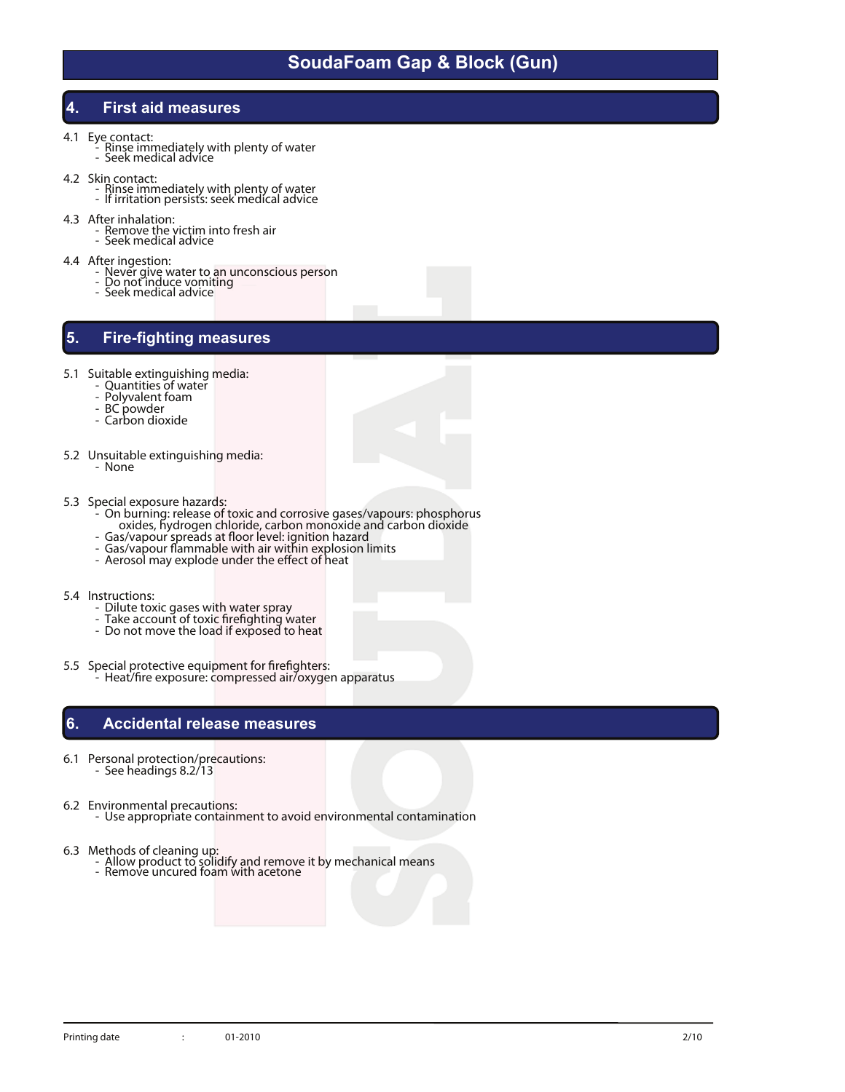#### **4. First aid measures**

- 
- **4.1 Eye contact:** Rinse immediately with plenty of water Seek medical advice
	-
- **4.2 Skin contact:** Rinse immediately with plenty of water If irritation persists: seek medical advice
	-
- 
- **4.3 After inhalation:** Remove the victim into fresh air Seek medical advice
	-
- 
- **4.4** After ingestion:<br>
 Never give water to an unconscious person<br>
 Do not induce vomiting<br>
 Seek medical advice
	-
	-

### **5. Fire-fighting measures**

- **5.1** Suitable extinguishing media:<br>
 Quantities of water<br>
 Polyvalent foam<br>
 BC powder<br>
 Carbon dioxide
	-
	-
	-
	-
- **5.2 Unsuitable extinguishing media:** None
	-
- 
- **5.3 Special exposure hazards:** On burning: release of toxic and corrosive gases/vapours: phosphorus oxides, hydrogen chloride, carbon monoxide and carbon dioxide<br>- Gas/vapour spreads at floor level: ignition hazard<br>- Gas/vapour flammable with air within explosion limits<br>- Aerosol may explode under the effect of heat
	-
	-
	-
- -
	-
- **5.4** Instructions:<br>
 Dilute toxic gases with water spray<br>
 Take account of toxic firefighting water<br>
 Do not move the load if exposed to heat
- **5.5 Special protective equipment for reghters:** Heat/re exposure: compressed air/oxygen apparatus

#### **6. Accidental release measures**

- **6.1 Personal protection/precautions:** See headings 8.2/13
- 
- **6.2 Environmental precautions:** Use appropriate containment to avoid environmental contamination
- 
- **6.3 Methods of cleaning up:** Allow product to solidify and remove it by mechanical means Remove uncured foam with acetone
	-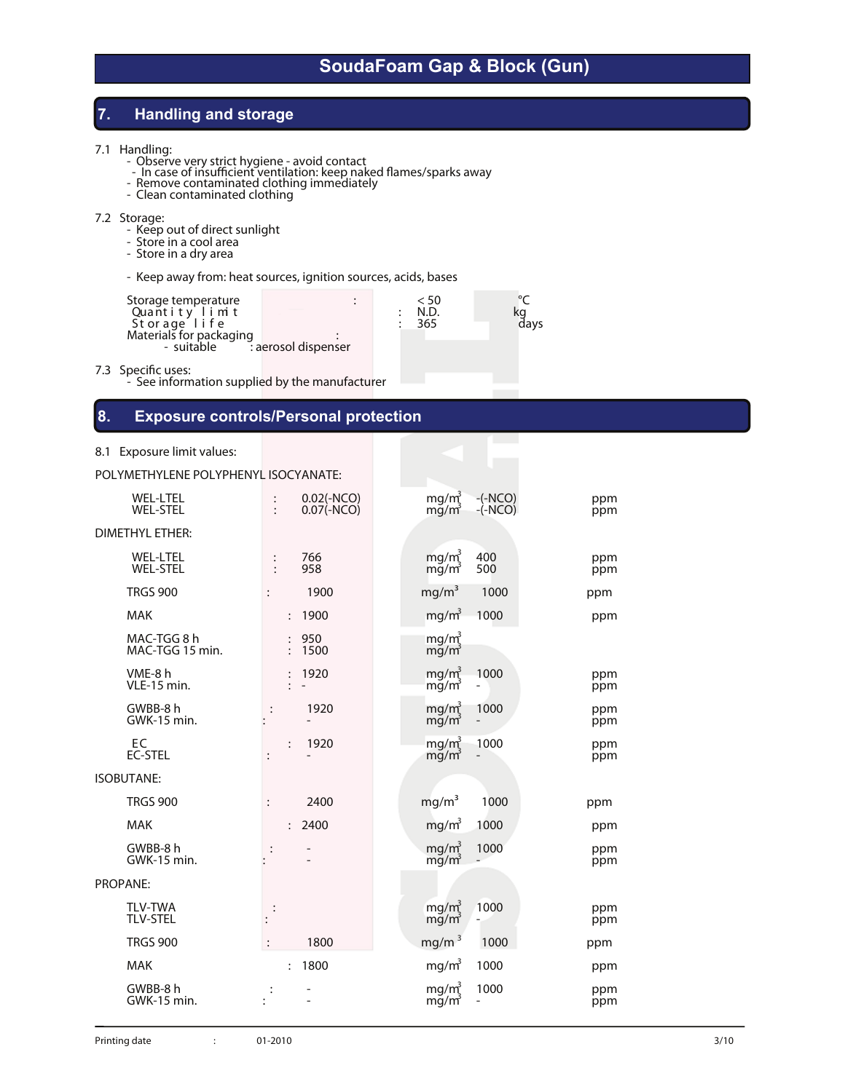#### **7. Handling and storage**

- 
- **7.1 Handling:** Observe very strict hygiene avoid contact Observe very strict hygiene avoid contact<br>
 In case of insufficient ventilation: keep naked flames/sparks away<br>
 Remove contaminated clothing immediatel
	-
	-

- **7.2 Storage:**<br>- Keep out of direct sunlight<br>- Store in a dry area<br>- Store in a dry area
	-
	-
	- Keep away from: heat sources, ignition sources, acids, bases

| Storage temperature<br>< 50<br>Quantity limit<br>N.D.<br>Storage life<br>365<br>Materials for packaging<br>- suitable <sup>7</sup> aerosol dispenser | davs |
|------------------------------------------------------------------------------------------------------------------------------------------------------|------|
|------------------------------------------------------------------------------------------------------------------------------------------------------|------|

**7.3** Specific uses:<br>- See information supplied by the manufacturer

#### **8. Exposure controls/Personal protection**

#### **8.1 Exposure limit values:**

POLYMETHYLENE POLYPHENYL ISOCYANATE:

| <b>WEL-LTEL</b><br><b>WEL-STEL</b> | $0.02(-NCO)$<br>$\ddot{\cdot}$<br>$0.07(-NCO)$<br>$\ddot{\cdot}$ | mg/m <sup>3</sup><br>$-(-NCO)$<br>$mg/m^3$<br>$-(-NCO)$           | ppm<br>ppm |
|------------------------------------|------------------------------------------------------------------|-------------------------------------------------------------------|------------|
| <b>DIMETHYL ETHER:</b>             |                                                                  |                                                                   |            |
| <b>WEL-LTEL</b><br><b>WEL-STEL</b> | 766<br>$\ddot{\cdot}$<br>958                                     | mg/m <sup>3</sup><br>400<br>500<br>mg/m <sup>3</sup>              | ppm<br>ppm |
| <b>TRGS 900</b>                    | 1900                                                             | mg/m <sup>3</sup><br>1000                                         | ppm        |
| <b>MAK</b>                         | 1900<br>$\ddot{\cdot}$                                           | mg/m <sup>3</sup><br>1000                                         | ppm        |
| MAC-TGG 8 h<br>MAC-TGG 15 min.     | 950<br>1500                                                      | mg/m <sub>s</sub><br>mg/m                                         |            |
| VME-8h<br>VLE-15 min.              | 1920                                                             | mg/m <sub>2</sub><br>1000<br>$mg/m^3$                             | ppm<br>ppm |
| GWBB-8 h<br>GWK-15 min.            | 1920<br>$\ddot{\cdot}$                                           | mg/m <sup>3</sup><br>1000<br>$mg/m^3$<br>$\overline{\phantom{0}}$ | ppm<br>ppm |
| EC<br><b>EC-STEL</b>               | 1920                                                             | mg/m <sup>3</sup><br>1000<br>$mg/m^3$                             | ppm<br>ppm |
| <b>ISOBUTANE:</b>                  |                                                                  |                                                                   |            |
| <b>TRGS 900</b>                    | 2400                                                             | mg/m <sup>3</sup><br>1000                                         | ppm        |
| <b>MAK</b>                         | 2400<br>$\ddot{\cdot}$                                           | mg/m <sup>3</sup><br>1000                                         | ppm        |
| GWBB-8 h<br>GWK-15 min.            | :                                                                | mg/m <sup>3</sup><br>1000<br>mg/m                                 | ppm<br>ppm |
| PROPANE:                           |                                                                  |                                                                   |            |
| <b>TLV-TWA</b><br><b>TLV-STEL</b>  |                                                                  | mg/m <sub>3</sub><br>1000<br>$mg/m^3$                             | ppm<br>ppm |
| <b>TRGS 900</b>                    | 1800                                                             | mg/m <sup>3</sup><br>1000                                         | ppm        |
| <b>MAK</b>                         | 1800<br>$\ddot{\cdot}$                                           | 1000<br>mg/m <sup>3</sup>                                         | ppm        |
| GWBB-8 h<br>GWK-15 min.            |                                                                  | mg/ $m1^3$<br>1000<br>$mg/m^3$<br>$\overline{\phantom{0}}$        | ppm<br>ppm |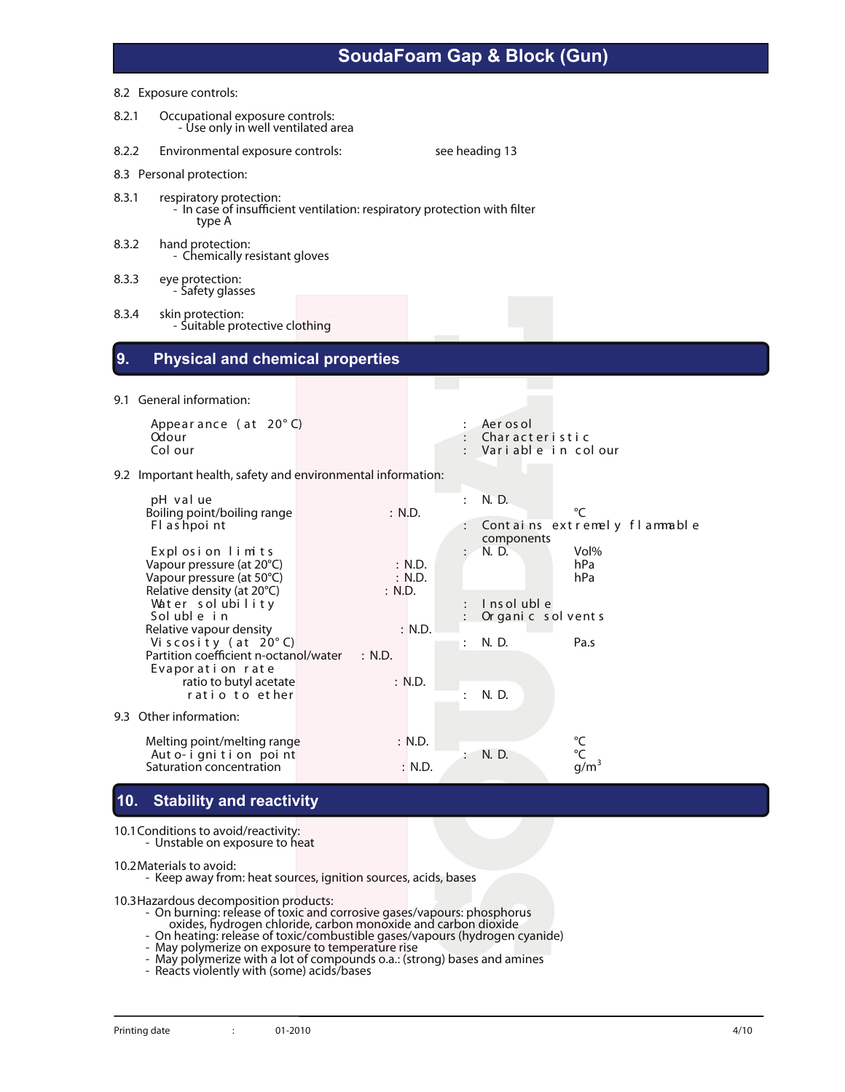|       | 8.2 Exposure controls:                                                                                         |        |                  |                      |                                                     |                                |  |
|-------|----------------------------------------------------------------------------------------------------------------|--------|------------------|----------------------|-----------------------------------------------------|--------------------------------|--|
| 8.2.1 | Occupational exposure controls:<br>- Use only in well ventilated area                                          |        |                  |                      |                                                     |                                |  |
| 8.2.2 | Environmental exposure controls:                                                                               |        |                  | see heading 13       |                                                     |                                |  |
|       | 8.3 Personal protection:                                                                                       |        |                  |                      |                                                     |                                |  |
| 8.3.1 | respiratory protection:<br>- In case of insufficient ventilation: respiratory protection with filter<br>type A |        |                  |                      |                                                     |                                |  |
| 8.3.2 | hand protection:<br>- Chemically resistant gloves                                                              |        |                  |                      |                                                     |                                |  |
| 8.3.3 | eye protection:<br>- Safety glasses                                                                            |        |                  |                      |                                                     |                                |  |
| 8.3.4 | skin protection:<br>- Suitable protective clothing                                                             |        |                  |                      |                                                     |                                |  |
| 9.    | <b>Physical and chemical properties</b>                                                                        |        |                  |                      |                                                     |                                |  |
|       | 9.1 General information:                                                                                       |        | <b>Contract</b>  |                      |                                                     |                                |  |
|       | Appearance (at $20^{\circ}$ C)<br>Odour<br>Col our                                                             |        |                  |                      | Aer os ol<br>Characteristic<br>Variable in colour   |                                |  |
|       | 9.2 Important health, safety and environmental information:                                                    |        |                  |                      |                                                     |                                |  |
|       | pH value<br>Boiling point/boiling range<br>Fl as hpoint                                                        | : N.D. |                  | $\ddot{\cdot}$       | N. D.<br>Contains extremely flammable<br>components | °C                             |  |
|       | Explosion limits<br>Vapour pressure (at 20°C)<br>Vapour pressure (at 50°C)<br>Relative density (at 20°C)       | : N.D. | : N.D.<br>: N.D. |                      | N. D.                                               | Vol <sub>%</sub><br>hPa<br>hPa |  |
|       | Water solubility<br>Soluble in<br>Relative vapour density                                                      |        | : N.D.           |                      | I ns ol ubl e<br>Or ganic solvents                  |                                |  |
|       | Viscosity (at $20^{\circ}$ C)<br>Partition coefficient n-octanol/water<br>Evaporation rate                     | : N.D. |                  | $\ddot{\phantom{a}}$ | N. D.                                               | Pa.s                           |  |
|       | ratio to butyl acetate<br>ratio to ether                                                                       |        | : N.D.           |                      | N. D.                                               |                                |  |
|       | 9.3 Other information:                                                                                         |        |                  |                      |                                                     |                                |  |
|       | Melting point/melting range<br>Auto-ignition point<br>Saturation concentration                                 |        | : N.D.<br>: N.D. |                      | N. D.                                               | °C<br>°C<br>$g/m^3$            |  |

#### **10. Stability and reactivity**

**10.1Conditions to avoid/reactivity:** - Unstable on exposure to heat

**10.2Materials to avoid:** - Keep away from: heat sources, ignition sources, acids, bases

- **10.3Hazardous decomposition products:** On burning: release of toxic and corrosive gases/vapours: phosphorus
	-
	- oxides, hydrogen chloride, carbon monoxide and carbon dioxide<br>- On heating: release of toxic/combustible gases/vapours (hydrogen cyanide)<br>- May polymerize on exposure to temperature rise<br>- May polymerize with a lot of comp
	-
	-
	-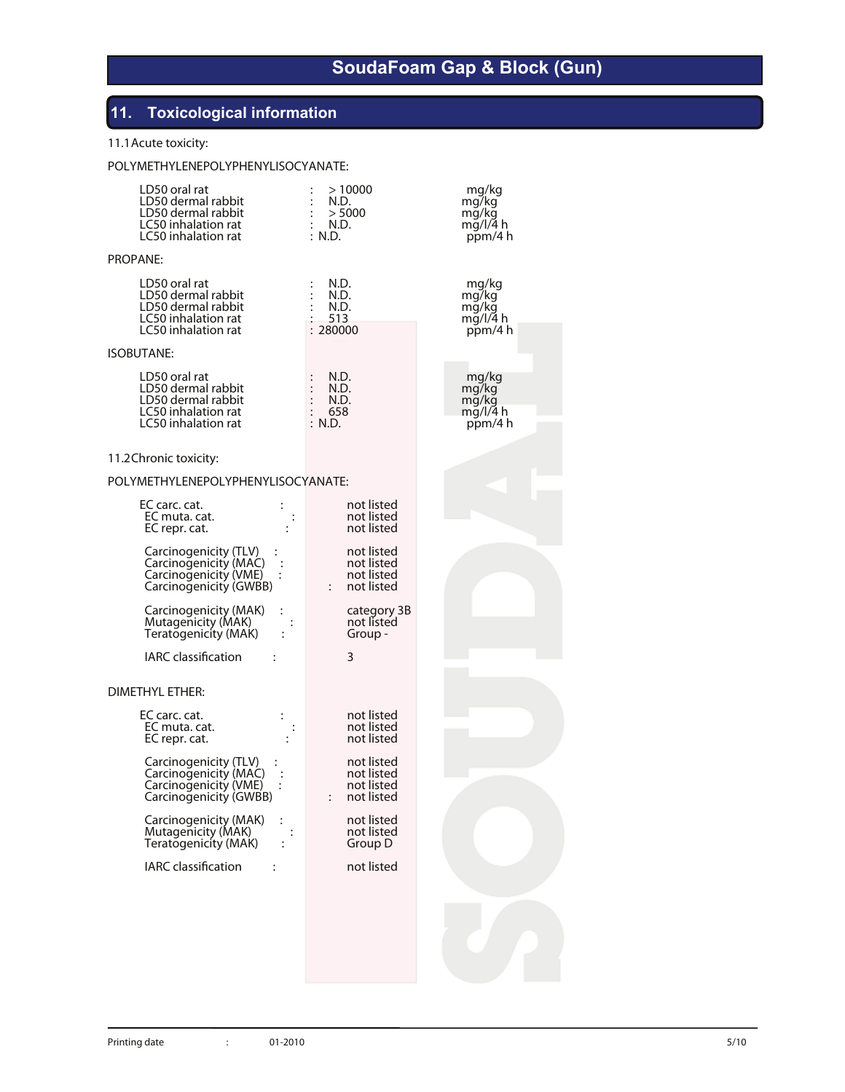## **11. Toxicological information**

#### **11.1Acute toxicity:**

#### POLYMETHYLENEPOLYPHENYLISOCYANATE:

| LD50 oral rat<br>LD50 dermal rabbit<br>LD50 dermal rabbit<br>LC50 inhalation rat<br>LC50 inhalation rat | >10000<br>N.D.<br>> 5000<br>N.D.<br>: N.D.             | mg/kg<br>mg/kg<br>mg/kg<br>mg/l/4 h<br>ppm/4 h |
|---------------------------------------------------------------------------------------------------------|--------------------------------------------------------|------------------------------------------------|
| PROPANE:                                                                                                |                                                        |                                                |
| LD50 oral rat<br>LD50 dermal rabbit<br>LD50 dermal rabbit<br>LC50 inhalation rat<br>LC50 inhalation rat | N.D.<br>N.D.<br>N.D.<br>513<br>: 280000                | mg/kg<br>mg/kg<br>mg/kg<br>mg/l/4 h<br>ppm/4 h |
| <b>ISOBUTANE:</b>                                                                                       |                                                        |                                                |
| LD50 oral rat<br>LD50 dermal rabbit<br>LD50 dermal rabbit<br>LC50 inhalation rat<br>LC50 inhalation rat | N.D.<br>N.D.<br>$:$ N.D.<br>: 658<br>: N.D.            | mg/kg<br>mg/kg<br>mg/kg<br>mg/l/4 h<br>ppm/4 h |
| 11.2 Chronic toxicity:                                                                                  |                                                        |                                                |
| POLYMETHYLENEPOLYPHENYLISOCYANATE:                                                                      |                                                        |                                                |
| EC carc. cat.<br>EC muta. cat.<br>EC repr. cat.                                                         | not listed<br>not listed<br>not listed                 |                                                |
| Carcinogenicity (TLV)<br>Carcinogenicity (MAC)<br>Carcinogenicity (VME)<br>Carcinogenicity (GWBB)       | not listed<br>not listed<br>not listed<br>: not listed |                                                |
| Carcinogenicity (MAK)<br>Mutagenicity (MAK)<br>Teratogenicity (MAK)                                     | category 3B<br>not listed<br>Group -                   |                                                |
| <b>IARC</b> classification                                                                              | 3                                                      |                                                |
| DIMETHYL ETHER:                                                                                         |                                                        |                                                |
| EC carc. cat.<br>EC muta. cat.<br>EC repr. cat.                                                         | not listed<br>not listed<br>not listed                 |                                                |
| Carcinogenicity (TLV)<br>Carcinogenicity (MAC)<br>Carcinogenicity (VME)<br>Carcinogenicity (GWBB)       | not listed<br>not listed<br>not listed<br>not listed   |                                                |
| Carcinogenicity (MAK)<br>Mutagenicity (MAK)<br>Teratogenicity (MAK)                                     | not listed<br>not listed<br>Group D                    |                                                |
| <b>IARC</b> classification<br>$\ddot{\cdot}$                                                            | not listed                                             |                                                |
|                                                                                                         |                                                        |                                                |
|                                                                                                         |                                                        |                                                |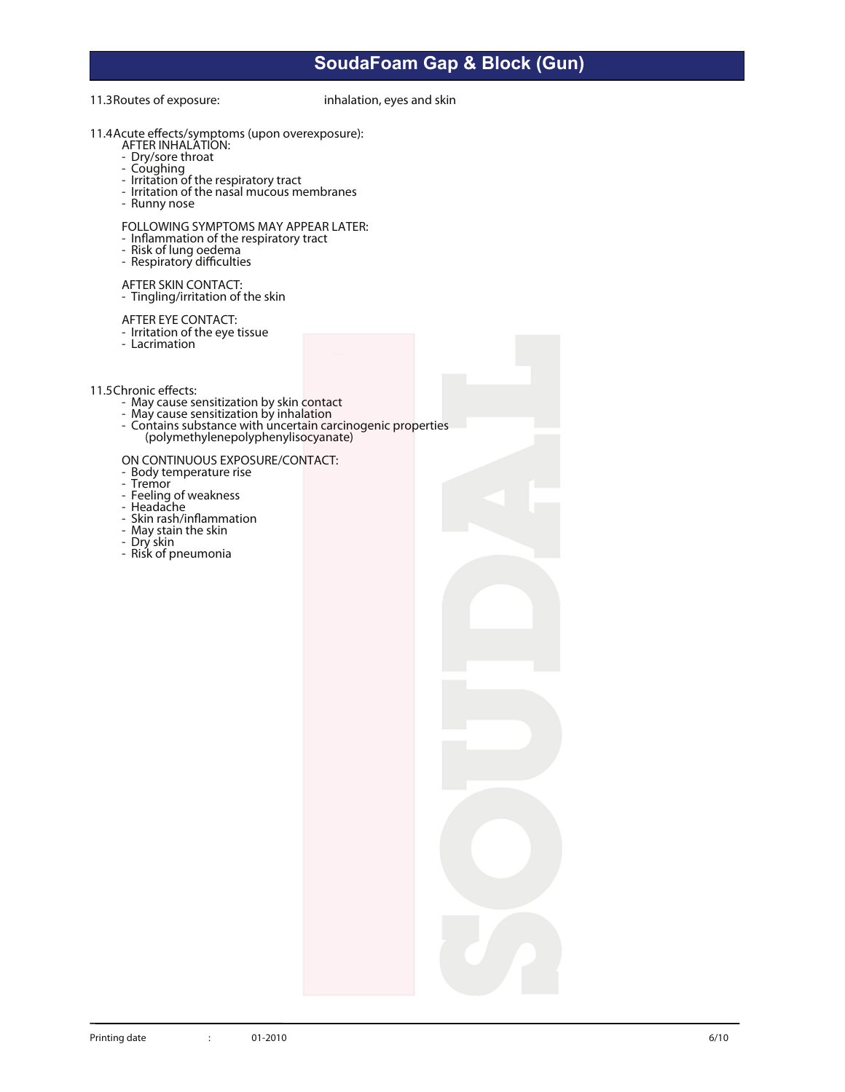**11.3Routes of exposure:** inhalation, eyes and skin

- **11.4Acute eects/symptoms (upon overexposure):**
	-
	-
	-
	-
	- **AFTER INTER INTER INTER INTER INTER INTER INTER INTER INTER INTER INTEREST:**<br>
	 Coughing<br>
	 Irritation of the nasal mucous membranes<br>
	 Runny nose
	-
	- FOLLOWING SYMPTOMS MAY APPEAR LATER:<br>- Inflammation of the respiratory tract<br>- Risk of lung oedema<br>- Respiratory difficulties
	-
	-
	-

**AFTER SKIN CONTACT:** - Tingling/irritation of the skin

- **AFTER EYE CONTACT:** Irritation of the eye tissue Lacrimation
- 
- -
	-
- **11.5Chronic effects:**<br>
 May cause sensitization by skin contact<br>
 May cause sensitization by inhalation<br>
 Contains substance with uncertain carcinogenic properties (polymethylenepolyphenylisocyanate)

# ON CONTINUOUS EXPOSURE/CONTACT:<br>- Body temperature rise<br>- Tremor

- 
- 
- 
- 
- Feeling of weakness<br>- Headache<br>- Skin rash/inflammation<br>- May stain the skin<br>- Dry skin<br>- Risk of pneumonia
- 
-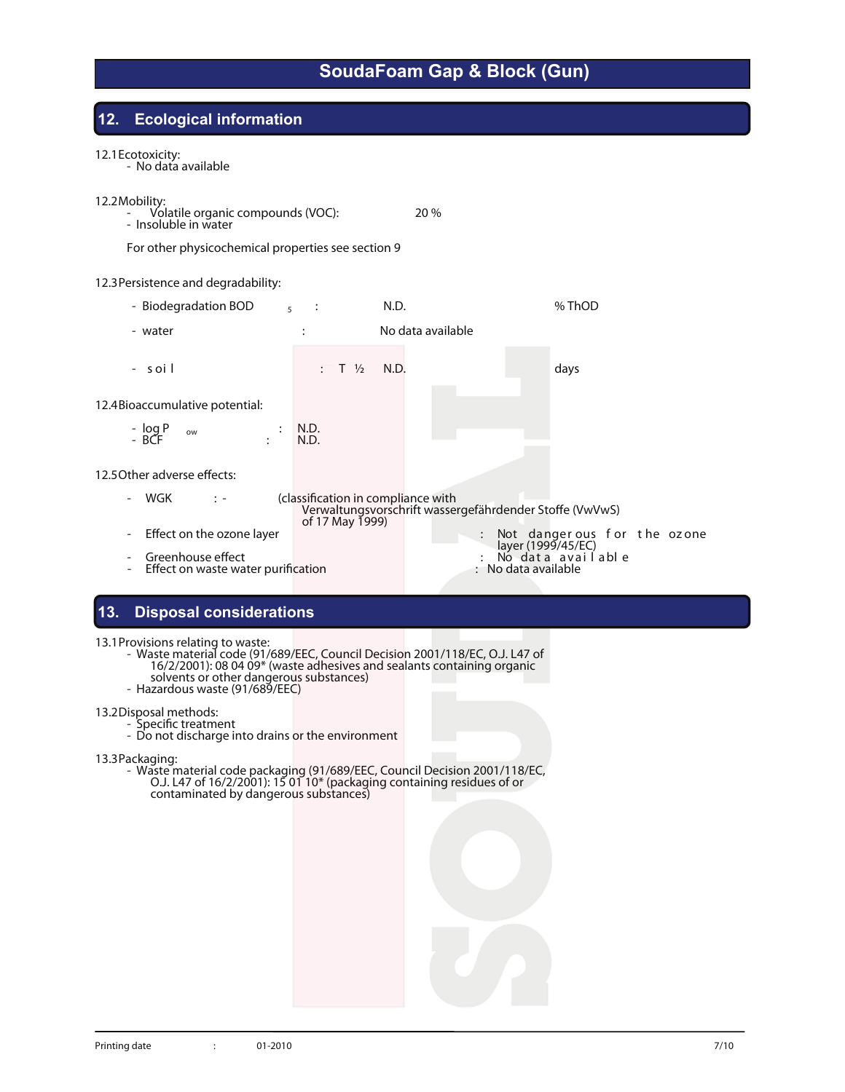#### **12. Ecological information**

**12.1Ecotoxicity:** - No data available

**12.2Mobility:** - **Volatile organic compounds (VOC):** 20 % - Insoluble in water

For other physicochemical properties see section 9

#### **12.3Persistence and degradability:**

- - **Biodegradation BOD <sup>5</sup> :** N.D. **% ThOD**
- - **water :** No data available
- 

- **s oi l : T ½** N.D. **days**

**12.4Bioaccumulative potential:**

- **log P ow :** N.D. - **BCF :** N.D.

12.5 Other adverse effects:

- WGK : - (classification in compliance with Verwaltungsvorschrift wassergefährdender Stoffe (VwVwS) of 17 May 1999)<br>Fig. Not danger ous for the ozone layer in the ozone in the ozone in the set of the ozone in the set of the set o Effect on the ozone layer<br>
Greenhouse effect<br>
Greenhouse effect<br>
Effect on waste water purification<br>
Effect on waste water purification<br>
Effect on waste water purification<br>
Contains a vailable<br>
Contains a vailable<br>
Contain

#### **13. Disposal considerations**

- **13.1Provisions relating to waste:** Waste material code (91/689/EEC, Council Decision 2001/118/EC, O.J. L47 of 16/2/2001): 08 04 09\* (waste adhesives and sealants containing organic solvents or other dangerous substances) - Hazardous waste (91/689/EEC)
	-

**13.2Disposal methods:**<br>- Specific treatment<br>- Do not discharge into drains or the environment

**13.3Packaging:** - Waste material code packaging (91/689/EEC, Council Decision 2001/118/EC, O.J. L47 of 16/2/2001): 15 01 10\* (packaging containing residues of or contaminated by dangerous substances)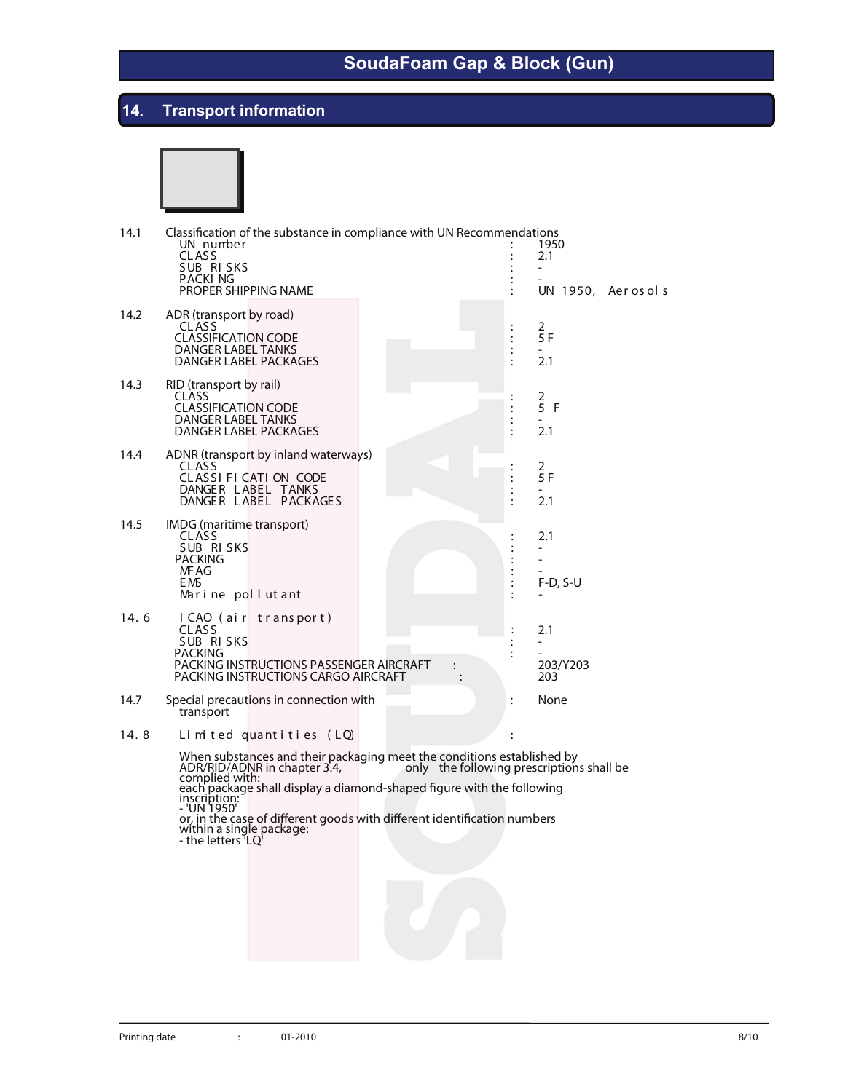# **14. Transport information**



| 14.1 | Classification of the substance in compliance with UN Recommendations<br>UN number<br><b>CLASS</b><br>SUB RISKS<br><b>PACKING</b><br>PROPER SHIPPING NAME |                                                                                                                                                                                                                                                                                            |                                              | 1950<br>2.1<br>UN 1950, Aerosols                   |
|------|-----------------------------------------------------------------------------------------------------------------------------------------------------------|--------------------------------------------------------------------------------------------------------------------------------------------------------------------------------------------------------------------------------------------------------------------------------------------|----------------------------------------------|----------------------------------------------------|
| 14.2 | ADR (transport by road)<br><b>CLASS</b><br><b>CLASSIFICATION CODE</b><br><b>DANGER LABEL TANKS</b><br>DANGER LABEL PACKAGES                               |                                                                                                                                                                                                                                                                                            | $\vdots$<br>$\vdots$<br>$\cdot$              | $\frac{2}{5}$ F<br>$\overline{\phantom{0}}$<br>2.1 |
| 14.3 | RID (transport by rail)<br><b>CLASS</b><br><b>CLASSIFICATION CODE</b><br>DANGER LABEL TANKS<br>DANGER LABEL PACKAGES                                      |                                                                                                                                                                                                                                                                                            | $\vdots$                                     | $\frac{2}{5}$<br>F<br>2.1                          |
| 14.4 | ADNR (transport by inland waterways)<br>CLASS<br>CLASSIFICATION CODE<br>DANGER LABEL TANKS<br>DANGER LABEL PACKAGES                                       |                                                                                                                                                                                                                                                                                            | $\vdots$<br>$\ddot{\cdot}$<br>$\ddot{\cdot}$ | $\frac{2}{5}$ F<br>۰<br>2.1                        |
| 14.5 | IMDG (maritime transport)<br>CLASS<br>SUB RISKS<br><b>PACKING</b><br>MF AG<br>EMS.<br>Marine pollutant                                                    |                                                                                                                                                                                                                                                                                            | $\ddot{\cdot}$                               | 2.1<br>$F-D, S-U$                                  |
| 14.6 | I CAO (air transport)<br><b>CLASS</b><br>SUB RISKS<br>PACKING<br>PACKING INSTRUCTIONS PASSENGER AIRCRAFT<br>PACKING INSTRUCTIONS CARGO AIRCRAFT           | $\ddot{\phantom{0}}$                                                                                                                                                                                                                                                                       | ÷                                            | 2.1<br>203/Y203<br>203                             |
| 14.7 | Special precautions in connection with<br>transport                                                                                                       |                                                                                                                                                                                                                                                                                            | $\ddot{\cdot}$                               | None                                               |
| 14.8 | Limited quantities (LQ)                                                                                                                                   |                                                                                                                                                                                                                                                                                            |                                              |                                                    |
|      | ADR/RID/ADNR in chapter 3.4,<br>inscription:<br>- 'UN 1950'<br>within a single package:<br>- the letters LQ                                               | When substances and their packaging meet the conditions established by<br>only the following prescriptions shall be<br>complied with:<br>each package shall display a diamond-shaped figure with the following<br>or, in the case of different goods with different identification numbers |                                              |                                                    |
|      |                                                                                                                                                           |                                                                                                                                                                                                                                                                                            |                                              |                                                    |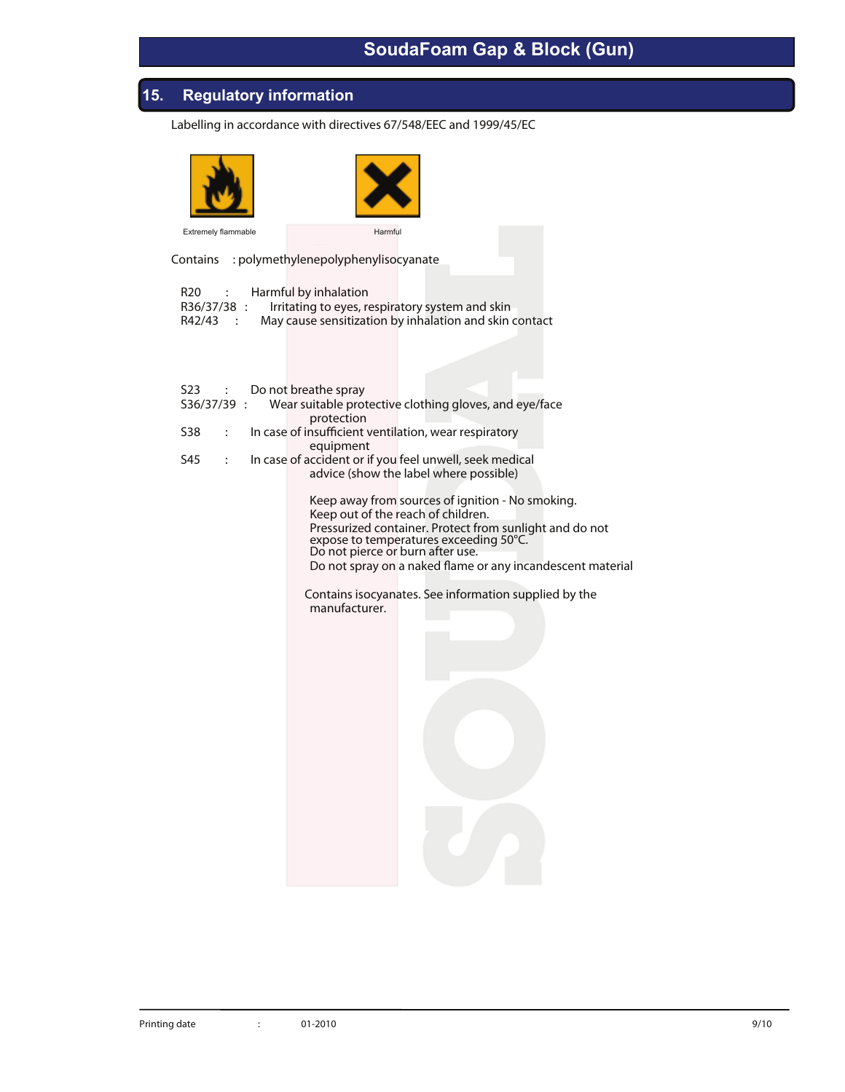### **15. Regulatory information**

**Labelling in accordance with directives 67/548/EEC and 1999/45/EC**





Contains : polymethylenepolyphenylisocyanate

| R20 : Harmful by inhalation |                                                             |
|-----------------------------|-------------------------------------------------------------|
|                             | R36/37/38 : Irritating to eyes, respiratory system and skin |
| R42/43 :                    | May cause sensitization by inhalation and skin contact      |
|                             |                                                             |

|                       | S23 : Do not breathe spray                              |                                                                    |
|-----------------------|---------------------------------------------------------|--------------------------------------------------------------------|
|                       |                                                         | S36/37/39 : Wear suitable protective clothing gloves, and eye/face |
|                       | protection                                              |                                                                    |
| S38                   | : In case of insufficient ventilation, wear respiratory |                                                                    |
|                       | equipment                                               |                                                                    |
| S45<br>$\ddot{\cdot}$ |                                                         | In case of accident or if you feel unwell, seek medical            |
|                       |                                                         | advice (show the label where possible)                             |
|                       |                                                         |                                                                    |
|                       |                                                         | Keep away from sources of ignition - No smoking.                   |
|                       | Keep out of the reach of children.                      |                                                                    |
|                       |                                                         | Pressurized container. Protect from sunlight and do not            |
|                       |                                                         | expose to temperatures exceeding 50°C.                             |
|                       | Do not pierce or burn after use.                        |                                                                    |
|                       |                                                         | Do not spray on a naked flame or any incandescent material         |
|                       |                                                         |                                                                    |
|                       |                                                         | Contains isocyanates. See information supplied by the              |
|                       | manufacturer.                                           |                                                                    |